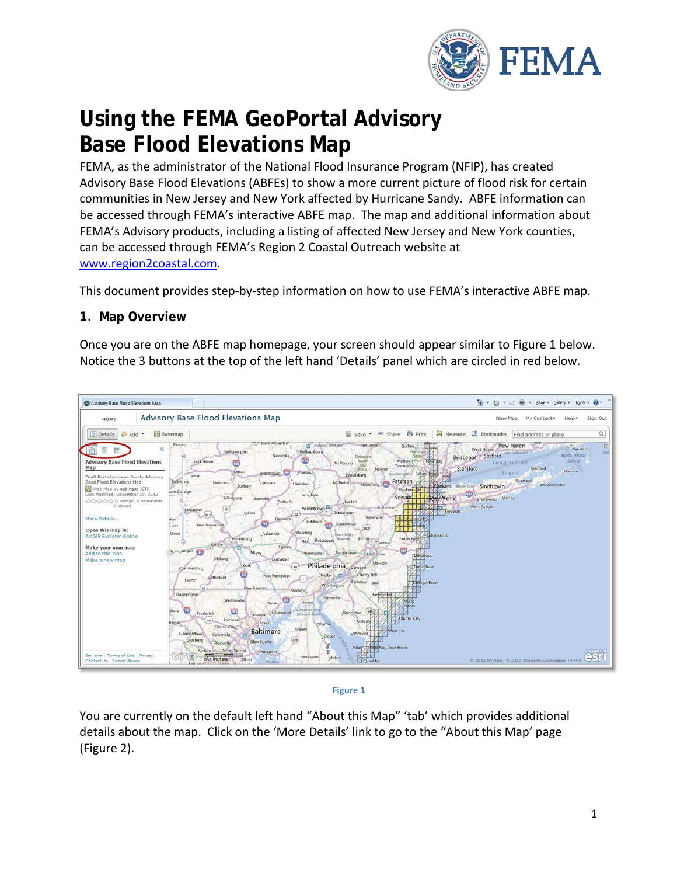

# **Using the FEMA GeoPortal Advisory Base Flood Elevations Map**

FEMA, as the administrator of the National Flood Insurance Program (NFIP), has created Advisory Base Flood Elevations (ABFEs) to show a more current picture of flood risk for certain communities in New Jersey and New York affected by Hurricane Sandy. ABFE information can be accessed through FEMA's interactive ABFE map. The map and additional information about FEMA's Advisory products, including a listing of affected New Jersey and New York counties, can be accessed through FEMA's Region 2 Coastal Outreach website at [www.region2coastal.com.](http://www.region2coastal.com/)

This document provides step-by-step information on how to use FEMA's interactive ABFE map.

### **1. Map Overview**

Once you are on the ABFE map homepage, your screen should appear similar to Figure 1 below. Notice the 3 buttons at the top of the left hand 'Details' panel which are circled in red below.





You are currently on the default left hand "About this Map" 'tab' which provides additional details about the map. Click on the 'More Details' link to go to the "About this Map' page (Figure 2).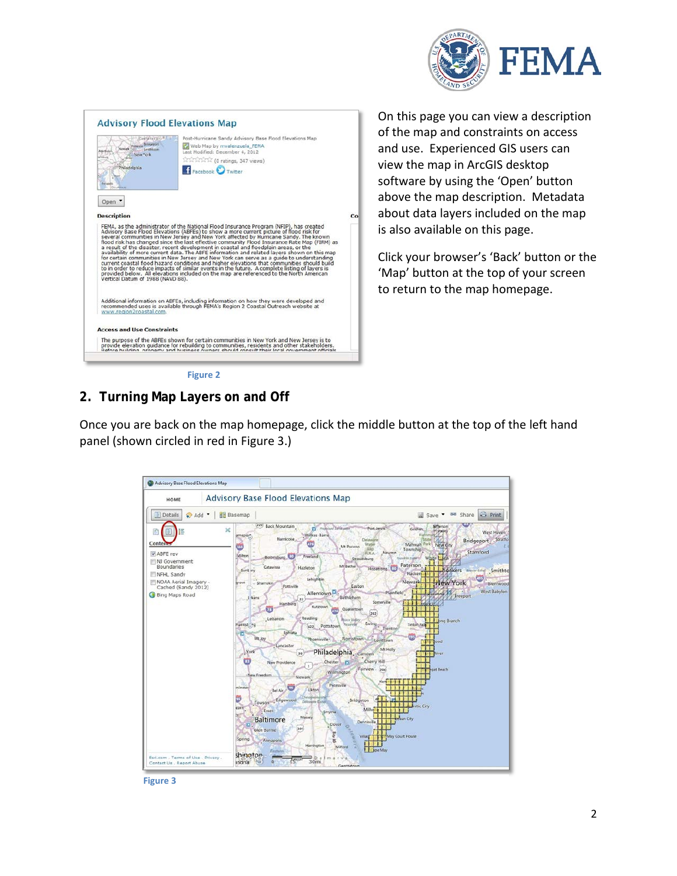



On this page you can view a description of the map and constraints on access and use. Experienced GIS users can view the map in ArcGIS desktop software by using the 'Open' button above the map description. Metadata about data layers included on the map is also available on this page.

Click your browser's 'Back' button or the 'Map' button at the top of your screen to return to the map homepage.

**Figure 2**

# **2. Turning Map Layers on and Off**

Once you are back on the map homepage, click the middle button at the top of the left hand panel (shown circled in red in Figure 3.)



**Figure 3**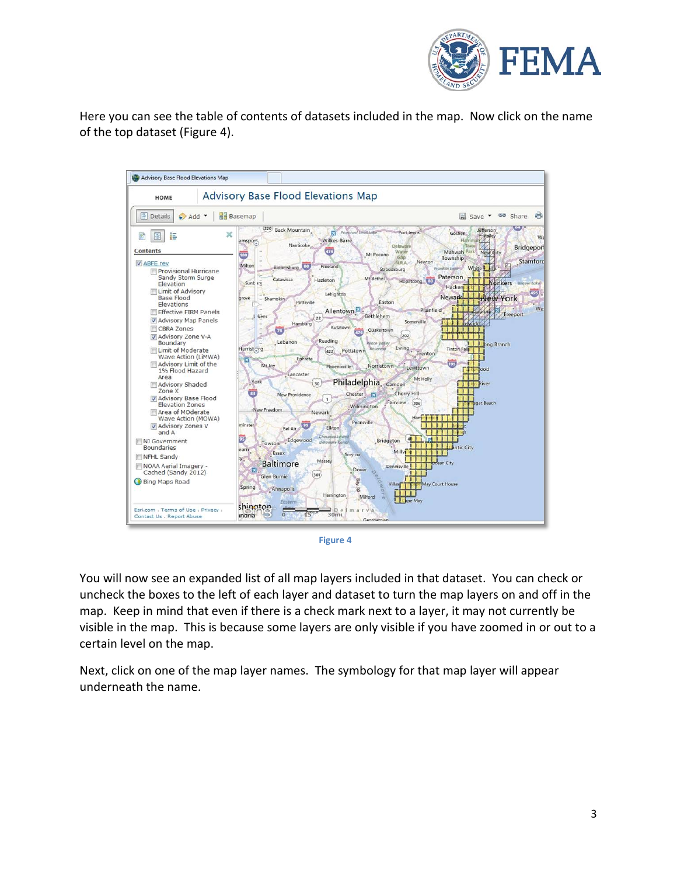

Here you can see the table of contents of datasets included in the map. Now click on the name of the top dataset (Figure 4).



**Figure 4**

You will now see an expanded list of all map layers included in that dataset. You can check or uncheck the boxes to the left of each layer and dataset to turn the map layers on and off in the map. Keep in mind that even if there is a check mark next to a layer, it may not currently be visible in the map. This is because some layers are only visible if you have zoomed in or out to a certain level on the map.

Next, click on one of the map layer names. The symbology for that map layer will appear underneath the name.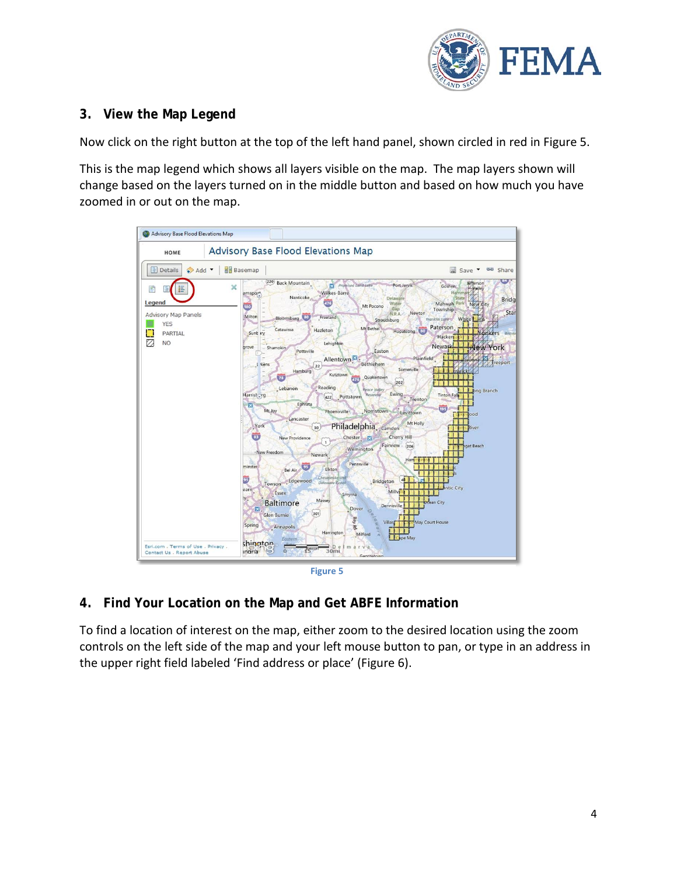

# **3. View the Map Legend**

Now click on the right button at the top of the left hand panel, shown circled in red in Figure 5.

This is the map legend which shows all layers visible on the map. The map layers shown will change based on the layers turned on in the middle button and based on how much you have zoomed in or out on the map.



#### **Figure 5**

### **4. Find Your Location on the Map and Get ABFE Information**

To find a location of interest on the map, either zoom to the desired location using the zoom controls on the left side of the map and your left mouse button to pan, or type in an address in the upper right field labeled 'Find address or place' (Figure 6).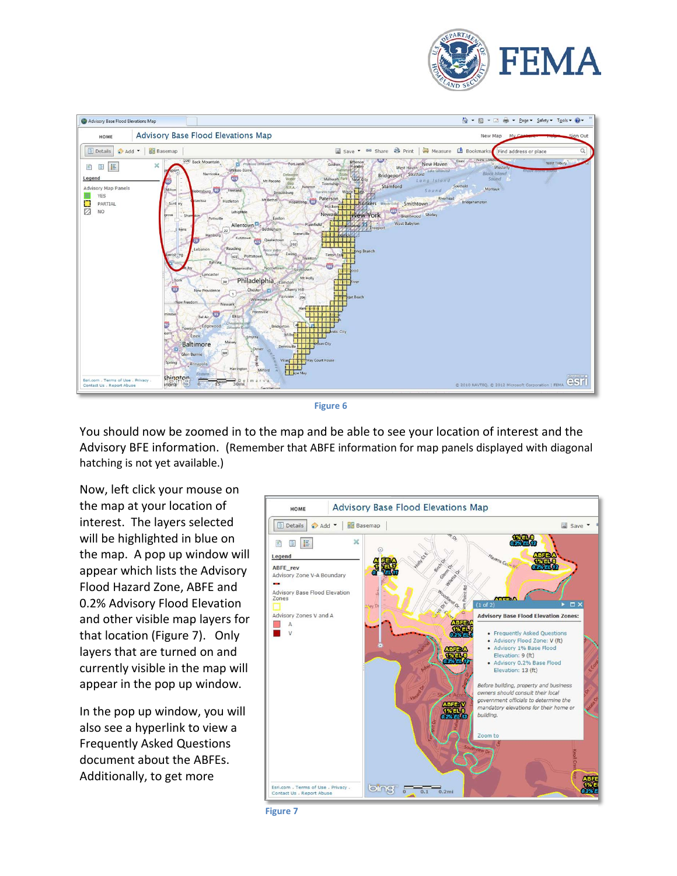



**Figure 6**

You should now be zoomed in to the map and be able to see your location of interest and the Advisory BFE information. (Remember that ABFE information for map panels displayed with diagonal hatching is not yet available.)

Now, left click your mouse on the map at your location of interest. The layers selected will be highlighted in blue on the map. A pop up window will appear which lists the Advisory Flood Hazard Zone, ABFE and 0.2% Advisory Flood Elevation and other visible map layers for that location (Figure 7). Only layers that are turned on and currently visible in the map will appear in the pop up window.

In the pop up window, you will also see a hyperlink to view a Frequently Asked Questions document about the ABFEs. Additionally, to get more